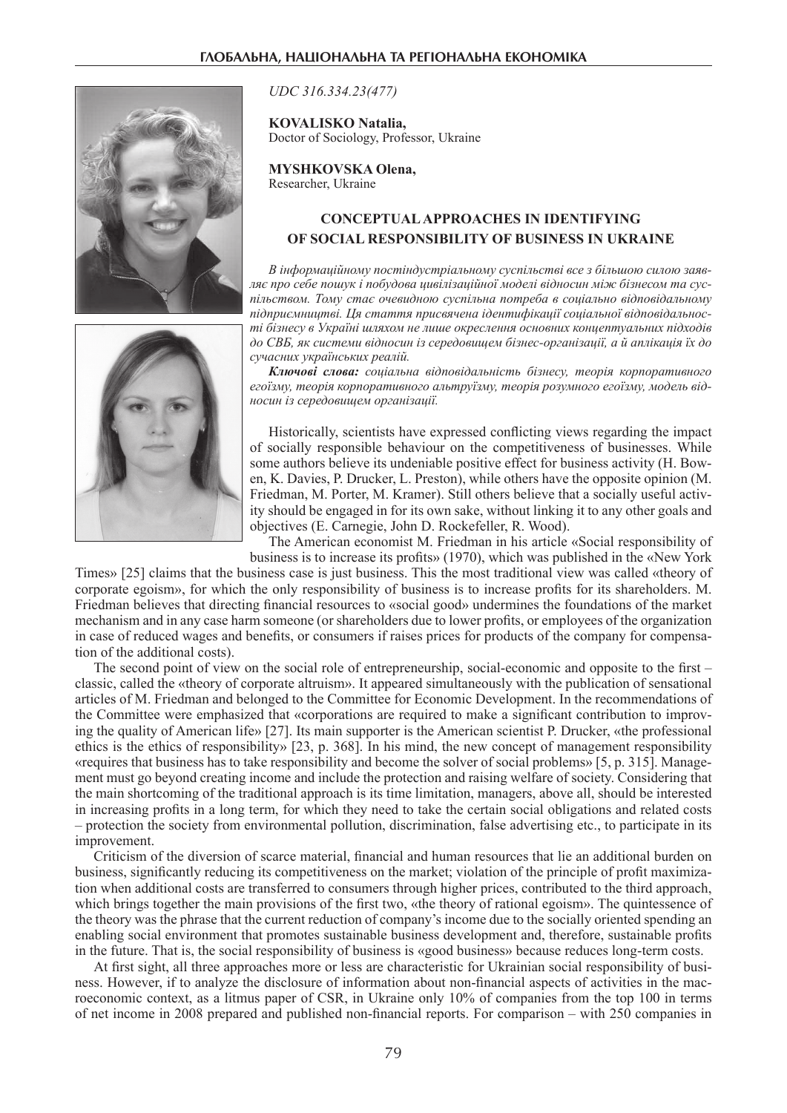

*UDC 316.334.23(477)*

**KOVALISKO Natalia,** Doctor of Sociology, Professor, Ukraine

**MYSHKOVSKA Olena,** Researcher, Ukraine

## **Conceptualapproaches In identifying of social responsibility of business in Ukraine**

*В інформаційному постіндустріальному суспільстві все з більшою силою заявляє про себе пошук і побудова цивілізаційної моделі відносин між бізнесом та суспільством. Тому стає очевидною суспільна потреба в соціально відповідальному підприємництві. Ця стаття присвячена ідентифікації соціальної відповідальності бізнесу в Україні шляхом не лише окреслення основних концептуальних підходів до СВБ, як системи відносин із середовищем бізнес-організації, а й аплікація їх до сучасних українських реалій.* 

*Ключові слова: соціальна відповідальність бізнесу, теорія корпоративного егоїзму, теорія корпоративного альтруїзму, теорія розумного егоїзму, модель відносин із середовищем організації.*

Historically, scientists have expressed conflicting views regarding the impact of socially responsible behaviour on the competitiveness of businesses. While some authors believe its undeniable positive effect for business activity (H. Bowen, K. Davies, P. Drucker, L. Preston), while others have the opposite opinion (M. Friedman, M. Porter, M. Kramer). Still others believe that a socially useful activity should be engaged in for its own sake, without linking it to any other goals and objectives (E. Carnegie, John D. Rockefeller, R. Wood).

The American economist M. Friedman in his article «Social responsibility of business is to increase its profits» (1970), which was published in the «New York

Times» [25] claims that the business case is just business. This the most traditional view was called «theory of corporate egoism», for which the only responsibility of business is to increase profits for its shareholders. M. Friedman believes that directing financial resources to «social good» undermines the foundations of the market mechanism and in any case harm someone (or shareholders due to lower profits, or employees of the organization in case of reduced wages and benefits, or consumers if raises prices for products of the company for compensation of the additional costs).

The second point of view on the social role of entrepreneurship, social-economic and opposite to the first – classic, called the «theory of corporate altruism». It appeared simultaneously with the publication of sensational articles of M. Friedman and belonged to the Committee for Economic Development. In the recommendations of the Committee were emphasized that «corporations are required to make a significant contribution to improving the quality of American life» [27]. Its main supporter is the American scientist P. Drucker, «the professional ethics is the ethics of responsibility» [23, p. 368]. In his mind, the new concept of management responsibility «requires that business has to take responsibility and become the solver of social problems» [5, p. 315]. Management must go beyond creating income and include the protection and raising welfare of society. Considering that the main shortcoming of the traditional approach is its time limitation, managers, above all, should be interested in increasing profits in a long term, for which they need to take the certain social obligations and related costs – protection the society from environmental pollution, discrimination, false advertising etc., to participate in its improvement.

Criticism of the diversion of scarce material, financial and human resources that lie an additional burden on business, significantly reducing its competitiveness on the market; violation of the principle of profit maximization when additional costs are transferred to consumers through higher prices, contributed to the third approach, which brings together the main provisions of the first two, «the theory of rational egoism». The quintessence of the theory was the phrase that the current reduction of company's income due to the socially oriented spending an enabling social environment that promotes sustainable business development and, therefore, sustainable profits in the future. That is, the social responsibility of business is «good business» because reduces long-term costs.

At first sight, all three approaches more or less are characteristic for Ukrainian social responsibility of business. However, if to analyze the disclosure of information about non-financial aspects of activities in the macroeconomic context, as a litmus paper of CSR, in Ukraine only 10% of companies from the top 100 in terms of net income in 2008 prepared and published non-financial reports. For comparison – with 250 companies in

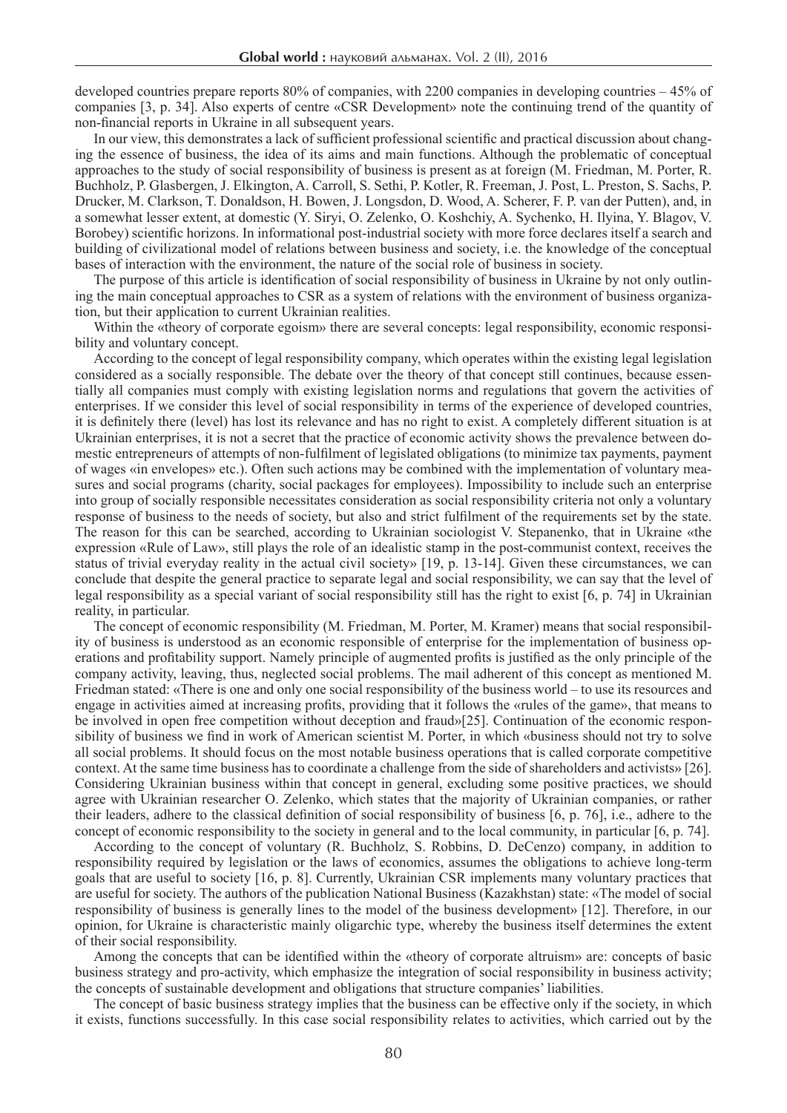developed countries prepare reports 80% of companies, with 2200 companies in developing countries – 45% of companies [3, p. 34]. Also experts of centre «CSR Development» note the continuing trend of the quantity of non-financial reports in Ukraine in all subsequent years.

In our view, this demonstrates a lack of sufficient professional scientific and practical discussion about changing the essence of business, the idea of its aims and main functions. Although the problematic of conceptual approaches to the study of social responsibility of business is present as at foreign (M. Friedman, M. Porter, R. Buchholz, P. Glasbergen, J. Elkington, A. Carroll, S. Sethi, P. Kotler, R. Freeman, J. Post, L. Preston, S. Sachs, P. Drucker, M. Clarkson, T. Donaldson, H. Bowen, J. Longsdon, D. Wood, A. Scherer, F. P. van der Putten), and, in a somewhat lesser extent, at domestic (Y. Siryi, O. Zelenko, O. Koshchiy, A. Sychenko, H. Ilyina, Y. Blagov, V. Borobey) scientific horizons. In informational post-industrial society with more force declares itself a search and building of civilizational model of relations between business and society, i.e. the knowledge of the conceptual bases of interaction with the environment, the nature of the social role of business in society.

The purpose of this article is identification of social responsibility of business in Ukraine by not only outlining the main conceptual approaches to CSR as a system of relations with the environment of business organization, but their application to current Ukrainian realities.

Within the «theory of corporate egoism» there are several concepts: legal responsibility, economic responsibility and voluntary concept.

According to the concept of legal responsibility company, which operates within the existing legal legislation considered as a socially responsible. The debate over the theory of that concept still continues, because essentially all companies must comply with existing legislation norms and regulations that govern the activities of enterprises. If we consider this level of social responsibility in terms of the experience of developed countries, it is definitely there (level) has lost its relevance and has no right to exist. A completely different situation is at Ukrainian enterprises, it is not a secret that the practice of economic activity shows the prevalence between domestic entrepreneurs of attempts of non-fulfilment of legislated obligations (to minimize tax payments, payment of wages «in envelopes» etc.). Often such actions may be combined with the implementation of voluntary measures and social programs (charity, social packages for employees). Impossibility to include such an enterprise into group of socially responsible necessitates consideration as social responsibility criteria not only a voluntary response of business to the needs of society, but also and strict fulfilment of the requirements set by the state. The reason for this can be searched, according to Ukrainian sociologist V. Stepanenko, that in Ukraine «the expression «Rule of Law», still plays the role of an idealistic stamp in the post-communist context, receives the status of trivial everyday reality in the actual civil society» [19, p. 13-14]. Given these circumstances, we can conclude that despite the general practice to separate legal and social responsibility, we can say that the level of legal responsibility as a special variant of social responsibility still has the right to exist [6, p. 74] in Ukrainian reality, in particular.

The concept of economic responsibility (M. Friedman, M. Porter, M. Kramer) means that social responsibility of business is understood as an economic responsible of enterprise for the implementation of business operations and profitability support. Namely principle of augmented profits is justified as the only principle of the company activity, leaving, thus, neglected social problems. The mail adherent of this concept as mentioned M. Friedman stated: «There is one and only one social responsibility of the business world – to use its resources and engage in activities aimed at increasing profits, providing that it follows the «rules of the game», that means to be involved in open free competition without deception and fraud»[25]. Continuation of the economic responsibility of business we find in work of American scientist M. Porter, in which «business should not try to solve all social problems. It should focus on the most notable business operations that is called corporate competitive context. At the same time business has to coordinate a challenge from the side of shareholders and activists» [26]. Considering Ukrainian business within that concept in general, excluding some positive practices, we should agree with Ukrainian researcher O. Zelenko, which states that the majority of Ukrainian companies, or rather their leaders, adhere to the classical definition of social responsibility of business [6, p. 76], i.e., adhere to the concept of economic responsibility to the society in general and to the local community, in particular [6, p. 74].

According to the concept of voluntary (R. Buchholz, S. Robbins, D. DeCenzo) company, in addition to responsibility required by legislation or the laws of economics, assumes the obligations to achieve long-term goals that are useful to society [16, p. 8]. Currently, Ukrainian CSR implements many voluntary practices that are useful for society. The authors of the publication National Business (Kazakhstan) state: «The model of social responsibility of business is generally lines to the model of the business development» [12]. Therefore, in our opinion, for Ukraine is characteristic mainly oligarchic type, whereby the business itself determines the extent of their social responsibility.

Among the concepts that can be identified within the «theory of corporate altruism» are: concepts of basic business strategy and pro-activity, which emphasize the integration of social responsibility in business activity; the concepts of sustainable development and obligations that structure companies' liabilities.

The concept of basic business strategy implies that the business can be effective only if the society, in which it exists, functions successfully. In this case social responsibility relates to activities, which carried out by the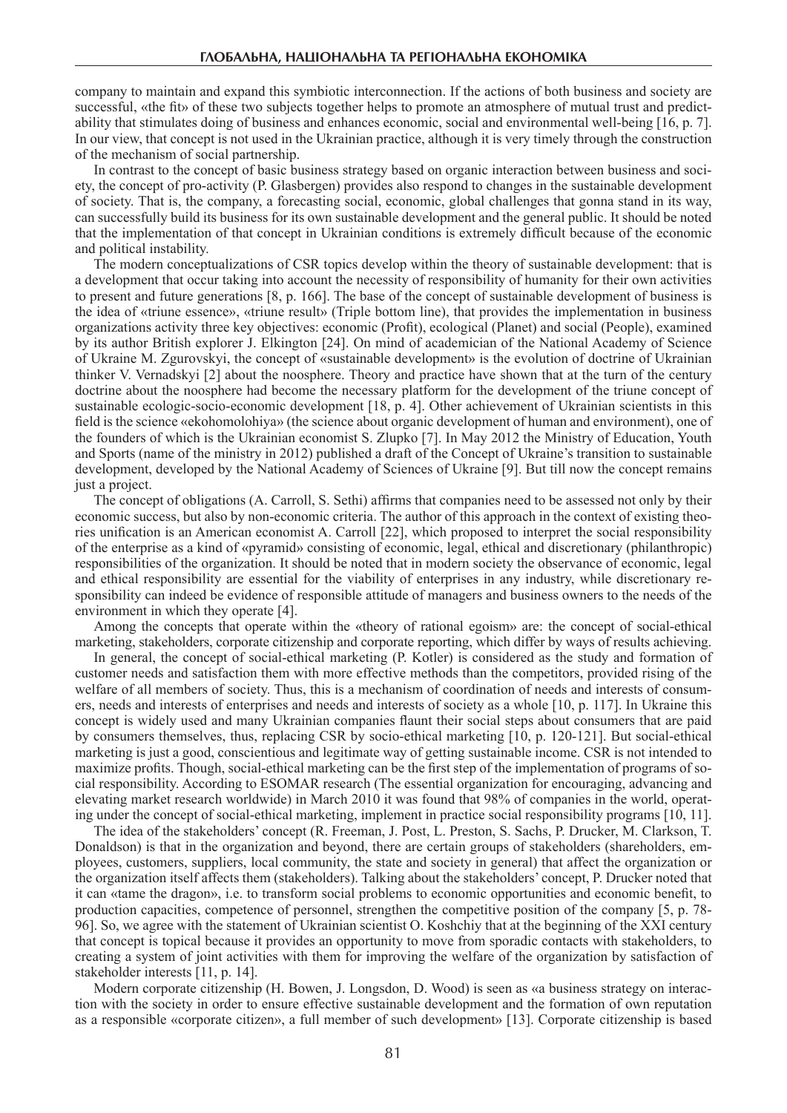company to maintain and expand this symbiotic interconnection. If the actions of both business and society are successful, «the fit» of these two subjects together helps to promote an atmosphere of mutual trust and predictability that stimulates doing of business and enhances economic, social and environmental well-being [16, p. 7]. In our view, that concept is not used in the Ukrainian practice, although it is very timely through the construction of the mechanism of social partnership.

In contrast to the concept of basic business strategy based on organic interaction between business and society, the concept of pro-activity (P. Glasbergen) provides also respond to changes in the sustainable development of society. That is, the company, a forecasting social, economic, global challenges that gonna stand in its way, can successfully build its business for its own sustainable development and the general public. It should be noted that the implementation of that concept in Ukrainian conditions is extremely difficult because of the economic and political instability.

The modern conceptualizations of CSR topics develop within the theory of sustainable development: that is a development that occur taking into account the necessity of responsibility of humanity for their own activities to present and future generations [8, p. 166]. The base of the concept of sustainable development of business is the idea of «triune essence», «triune result» (Triple bottom line), that provides the implementation in business organizations activity three key objectives: economic (Profit), ecological (Planet) and social (People), examined by its author British explorer J. Elkington [24]. On mind of academician of the National Academy of Science of Ukraine M. Zgurovskyi, the concept of «sustainable development» is the evolution of doctrine of Ukrainian thinker V. Vernadskyi [2] about the noosphere. Theory and practice have shown that at the turn of the century doctrine about the noosphere had become the necessary platform for the development of the triune concept of sustainable ecologic-socio-economic development [18, p. 4]. Other achievement of Ukrainian scientists in this field is the science «ekohomolohiya» (the science about organic development of human and environment), one of the founders of which is the Ukrainian economist S. Zlupko [7]. In May 2012 the Ministry of Education, Youth and Sports (name of the ministry in 2012) published a draft of the Concept of Ukraine's transition to sustainable development, developed by the National Academy of Sciences of Ukraine [9]. But till now the concept remains just a project.

The concept of obligations (A. Carroll, S. Sethi) affirms that companies need to be assessed not only by their economic success, but also by non-economic criteria. The author of this approach in the context of existing theories unification is an American economist A. Carroll [22], which proposed to interpret the social responsibility of the enterprise as a kind of «pyramid» consisting of economic, legal, ethical and discretionary (philanthropic) responsibilities of the organization. It should be noted that in modern society the observance of economic, legal and ethical responsibility are essential for the viability of enterprises in any industry, while discretionary responsibility can indeed be evidence of responsible attitude of managers and business owners to the needs of the environment in which they operate [4].

Among the concepts that operate within the «theory of rational egoism» are: the concept of social-ethical marketing, stakeholders, corporate citizenship and corporate reporting, which differ by ways of results achieving.

In general, the concept of social-ethical marketing (P. Kotler) is considered as the study and formation of customer needs and satisfaction them with more effective methods than the competitors, provided rising of the welfare of all members of society. Thus, this is a mechanism of coordination of needs and interests of consumers, needs and interests of enterprises and needs and interests of society as a whole [10, p. 117]. In Ukraine this concept is widely used and many Ukrainian companies flaunt their social steps about consumers that are paid by consumers themselves, thus, replacing CSR by socio-ethical marketing [10, p. 120-121]. But social-ethical marketing is just a good, conscientious and legitimate way of getting sustainable income. CSR is not intended to maximize profits. Though, social-ethical marketing can be the first step of the implementation of programs of social responsibility. According to ESOMAR research (The essential organization for encouraging, advancing and elevating market research worldwide) in March 2010 it was found that 98% of companies in the world, operating under the concept of social-ethical marketing, implement in practice social responsibility programs [10, 11].

The idea of the stakeholders' concept (R. Freeman, J. Post, L. Preston, S. Sachs, P. Drucker, M. Clarkson, T. Donaldson) is that in the organization and beyond, there are certain groups of stakeholders (shareholders, employees, customers, suppliers, local community, the state and society in general) that affect the organization or the organization itself affects them (stakeholders). Talking about the stakeholders' concept, P. Drucker noted that it can «tame the dragon», i.e. to transform social problems to economic opportunities and economic benefit, to production capacities, competence of personnel, strengthen the competitive position of the company [5, p. 78- 96]. So, we agree with the statement of Ukrainian scientist O. Koshchiy that at the beginning of the XXI century that concept is topical because it provides an opportunity to move from sporadic contacts with stakeholders, to creating a system of joint activities with them for improving the welfare of the organization by satisfaction of stakeholder interests [11, p. 14].

Modern corporate citizenship (H. Bowen, J. Longsdon, D. Wood) is seen as «a business strategy on interaction with the society in order to ensure effective sustainable development and the formation of own reputation as a responsible «corporate citizen», a full member of such development» [13]. Corporate citizenship is based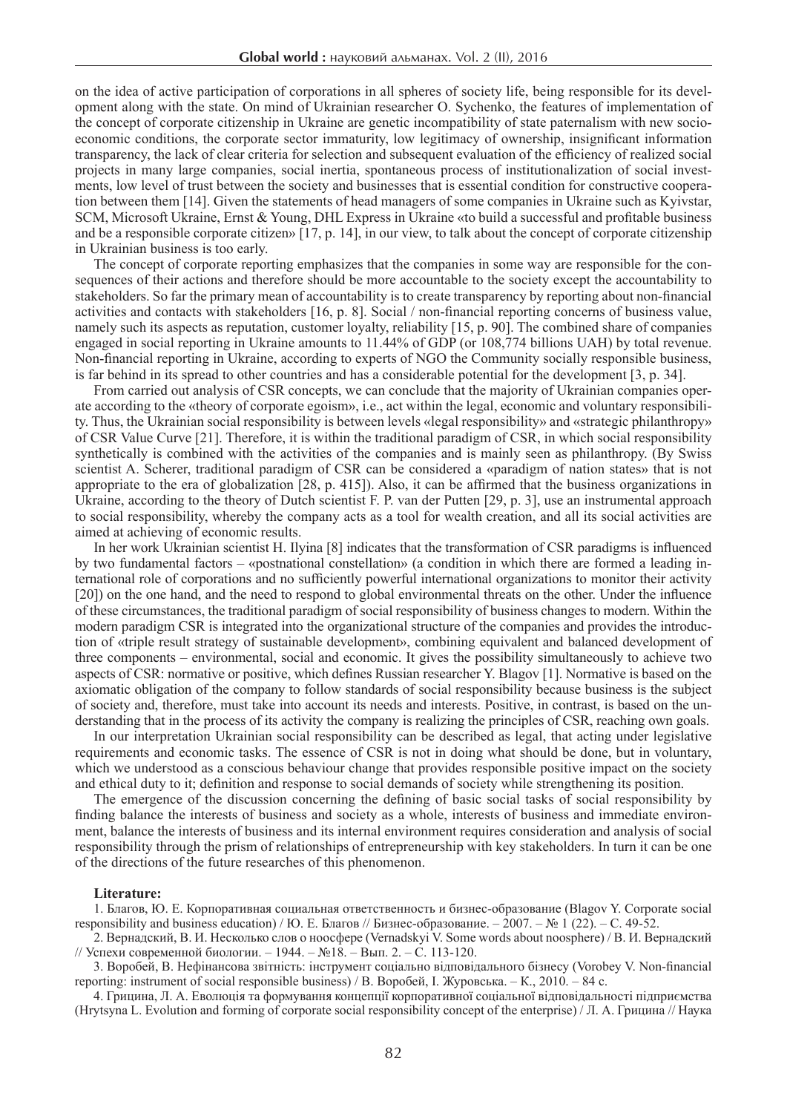on the idea of active participation of corporations in all spheres of society life, being responsible for its development along with the state. On mind of Ukrainian researcher O. Sychenko, the features of implementation of the concept of corporate citizenship in Ukraine are genetic incompatibility of state paternalism with new socioeconomic conditions, the corporate sector immaturity, low legitimacy of ownership, insignificant information transparency, the lack of clear criteria for selection and subsequent evaluation of the efficiency of realized social projects in many large companies, social inertia, spontaneous process of institutionalization of social investments, low level of trust between the society and businesses that is essential condition for constructive cooperation between them [14]. Given the statements of head managers of some companies in Ukraine such as Kyivstar, SCM, Microsoft Ukraine, Ernst & Young, DHL Express in Ukraine «to build a successful and profitable business and be a responsible corporate citizen» [17, p. 14], in our view, to talk about the concept of corporate citizenship in Ukrainian business is too early.

The concept of corporate reporting emphasizes that the companies in some way are responsible for the consequences of their actions and therefore should be more accountable to the society except the accountability to stakeholders. So far the primary mean of accountability is to create transparency by reporting about non-financial activities and contacts with stakeholders [16, p. 8]. Social / non-financial reporting concerns of business value, namely such its aspects as reputation, customer loyalty, reliability [15, p. 90]. The combined share of companies engaged in social reporting in Ukraine amounts to 11.44% of GDP (or 108,774 billions UAH) by total revenue. Non-financial reporting in Ukraine, according to experts of NGO the Community socially responsible business, is far behind in its spread to other countries and has a considerable potential for the development [3, p. 34].

From carried out analysis of CSR concepts, we can conclude that the majority of Ukrainian companies operate according to the «theory of corporate egoism», i.e., act within the legal, economic and voluntary responsibility. Thus, the Ukrainian social responsibility is between levels «legal responsibility» and «strategic philanthropy» of CSR Value Curve [21]. Therefore, it is within the traditional paradigm of CSR, in which social responsibility synthetically is combined with the activities of the companies and is mainly seen as philanthropy. (By Swiss scientist A. Scherer, traditional paradigm of CSR can be considered a «paradigm of nation states» that is not appropriate to the era of globalization [28, p. 415]). Also, it can be affirmed that the business organizations in Ukraine, according to the theory of Dutch scientist F. P. van der Putten [29, p. 3], use an instrumental approach to social responsibility, whereby the company acts as a tool for wealth creation, and all its social activities are aimed at achieving of economic results.

In her work Ukrainian scientist H. Ilyina [8] indicates that the transformation of CSR paradigms is influenced by two fundamental factors – «postnational constellation» (a condition in which there are formed a leading international role of corporations and no sufficiently powerful international organizations to monitor their activity [20]) on the one hand, and the need to respond to global environmental threats on the other. Under the influence of these circumstances, the traditional paradigm of social responsibility of business changes to modern. Within the modern paradigm CSR is integrated into the organizational structure of the companies and provides the introduction of «triple result strategy of sustainable development», combining equivalent and balanced development of three components – environmental, social and economic. It gives the possibility simultaneously to achieve two aspects of CSR: normative or positive, which defines Russian researcher Y. Blagov [1]. Normative is based on the axiomatic obligation of the company to follow standards of social responsibility because business is the subject of society and, therefore, must take into account its needs and interests. Positive, in contrast, is based on the understanding that in the process of its activity the company is realizing the principles of CSR, reaching own goals.

In our interpretation Ukrainian social responsibility can be described as legal, that acting under legislative requirements and economic tasks. The essence of CSR is not in doing what should be done, but in voluntary, which we understood as a conscious behaviour change that provides responsible positive impact on the society and ethical duty to it; definition and response to social demands of society while strengthening its position.

The emergence of the discussion concerning the defining of basic social tasks of social responsibility by finding balance the interests of business and society as a whole, interests of business and immediate environment, balance the interests of business and its internal environment requires consideration and analysis of social responsibility through the prism of relationships of entrepreneurship with key stakeholders. In turn it can be one of the directions of the future researches of this phenomenon.

## **Literature:**

1. Благов, Ю. Е. Корпоративная социальная ответственность и бизнес-образование (Blagov Y. Corporate social responsibility and business education) / Ю. Е. Благов // Бизнес-образование. – 2007. – № 1 (22). – С. 49-52.

2. Вернадский, В. И. Несколько слов о ноосфере (Vernadskyi V. Some words about noosphere) / В. И. Вернадский // Успехи современной биологии. – 1944. – №18. – Вып. 2. – С. 113-120.

3. Воробей, В. Нефінансова звітність: інструмент соціально відповідального бізнесу (Vorobey V. Non-financial reporting: instrument of social responsible business) / В. Воробей, І. Журовська. – К., 2010. – 84 с.

4. Грицина, Л. А. Еволюція та формування концепції корпоративної соціальної відповідальності підприємства (Hrytsyna L. Evolution and forming of corporate social responsibility concept of the enterprise) / Л. А. Грицина // Наука